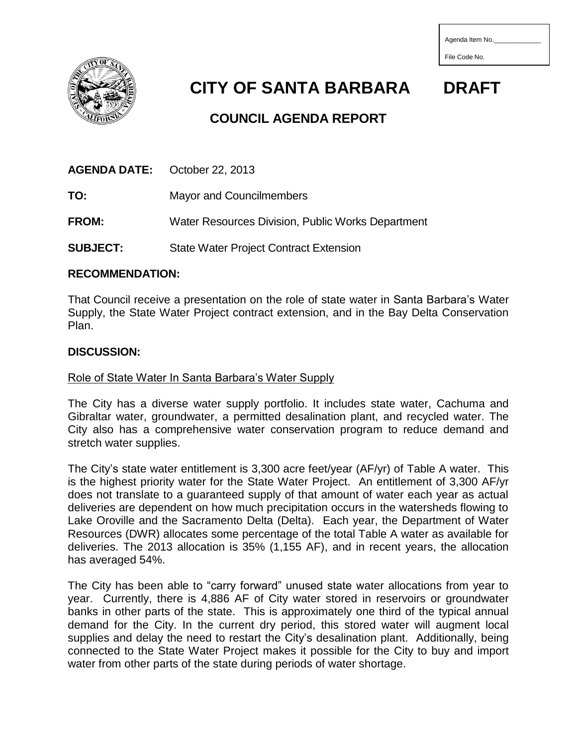| Agenda Item No. |  |  |  |
|-----------------|--|--|--|
|                 |  |  |  |



 **CITY OF SANTA BARBARA DRAFT**

File Code No.

# **COUNCIL AGENDA REPORT**

**AGENDA DATE:** October 22, 2013

**TO:** Mayor and Councilmembers

**FROM:** Water Resources Division, Public Works Department

**SUBJECT:** State Water Project Contract Extension

# **RECOMMENDATION:**

That Council receive a presentation on the role of state water in Santa Barbara's Water Supply, the State Water Project contract extension, and in the Bay Delta Conservation Plan.

# **DISCUSSION:**

# Role of State Water In Santa Barbara's Water Supply

The City has a diverse water supply portfolio. It includes state water, Cachuma and Gibraltar water, groundwater, a permitted desalination plant, and recycled water. The City also has a comprehensive water conservation program to reduce demand and stretch water supplies.

The City's state water entitlement is 3,300 acre feet/year (AF/yr) of Table A water. This is the highest priority water for the State Water Project. An entitlement of 3,300 AF/yr does not translate to a guaranteed supply of that amount of water each year as actual deliveries are dependent on how much precipitation occurs in the watersheds flowing to Lake Oroville and the Sacramento Delta (Delta). Each year, the Department of Water Resources (DWR) allocates some percentage of the total Table A water as available for deliveries. The 2013 allocation is 35% (1,155 AF), and in recent years, the allocation has averaged 54%.

The City has been able to "carry forward" unused state water allocations from year to year. Currently, there is 4,886 AF of City water stored in reservoirs or groundwater banks in other parts of the state. This is approximately one third of the typical annual demand for the City. In the current dry period, this stored water will augment local supplies and delay the need to restart the City's desalination plant. Additionally, being connected to the State Water Project makes it possible for the City to buy and import water from other parts of the state during periods of water shortage.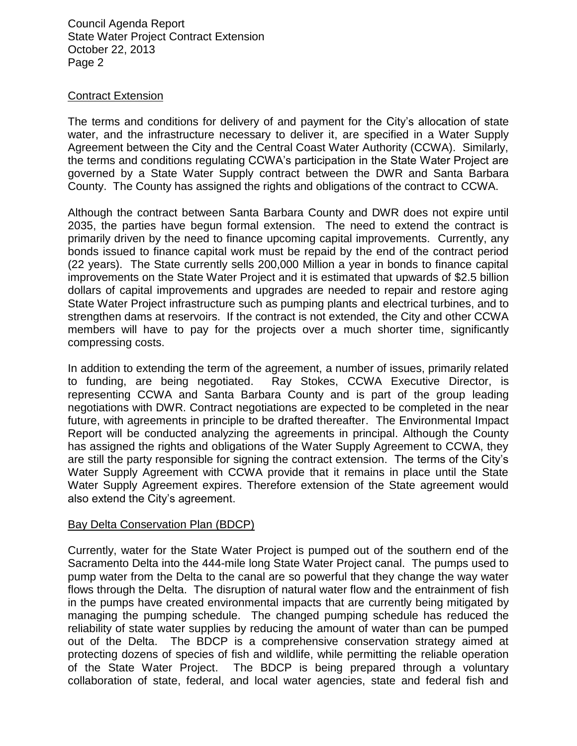Council Agenda Report State Water Project Contract Extension October 22, 2013 Page 2

### Contract Extension

The terms and conditions for delivery of and payment for the City's allocation of state water, and the infrastructure necessary to deliver it, are specified in a Water Supply Agreement between the City and the Central Coast Water Authority (CCWA). Similarly, the terms and conditions regulating CCWA's participation in the State Water Project are governed by a State Water Supply contract between the DWR and Santa Barbara County. The County has assigned the rights and obligations of the contract to CCWA.

Although the contract between Santa Barbara County and DWR does not expire until 2035, the parties have begun formal extension. The need to extend the contract is primarily driven by the need to finance upcoming capital improvements. Currently, any bonds issued to finance capital work must be repaid by the end of the contract period (22 years). The State currently sells 200,000 Million a year in bonds to finance capital improvements on the State Water Project and it is estimated that upwards of \$2.5 billion dollars of capital improvements and upgrades are needed to repair and restore aging State Water Project infrastructure such as pumping plants and electrical turbines, and to strengthen dams at reservoirs. If the contract is not extended, the City and other CCWA members will have to pay for the projects over a much shorter time, significantly compressing costs.

In addition to extending the term of the agreement, a number of issues, primarily related to funding, are being negotiated. Ray Stokes, CCWA Executive Director, is representing CCWA and Santa Barbara County and is part of the group leading negotiations with DWR. Contract negotiations are expected to be completed in the near future, with agreements in principle to be drafted thereafter. The Environmental Impact Report will be conducted analyzing the agreements in principal. Although the County has assigned the rights and obligations of the Water Supply Agreement to CCWA, they are still the party responsible for signing the contract extension. The terms of the City's Water Supply Agreement with CCWA provide that it remains in place until the State Water Supply Agreement expires. Therefore extension of the State agreement would also extend the City's agreement.

### Bay Delta Conservation Plan (BDCP)

Currently, water for the State Water Project is pumped out of the southern end of the Sacramento Delta into the 444-mile long State Water Project canal. The pumps used to pump water from the Delta to the canal are so powerful that they change the way water flows through the Delta. The disruption of natural water flow and the entrainment of fish in the pumps have created environmental impacts that are currently being mitigated by managing the pumping schedule. The changed pumping schedule has reduced the reliability of state water supplies by reducing the amount of water than can be pumped out of the Delta. The BDCP is a comprehensive conservation strategy aimed at protecting dozens of species of fish and wildlife, while permitting the reliable operation of the State Water Project. The BDCP is being prepared through a voluntary collaboration of state, federal, and local water agencies, state and federal fish and